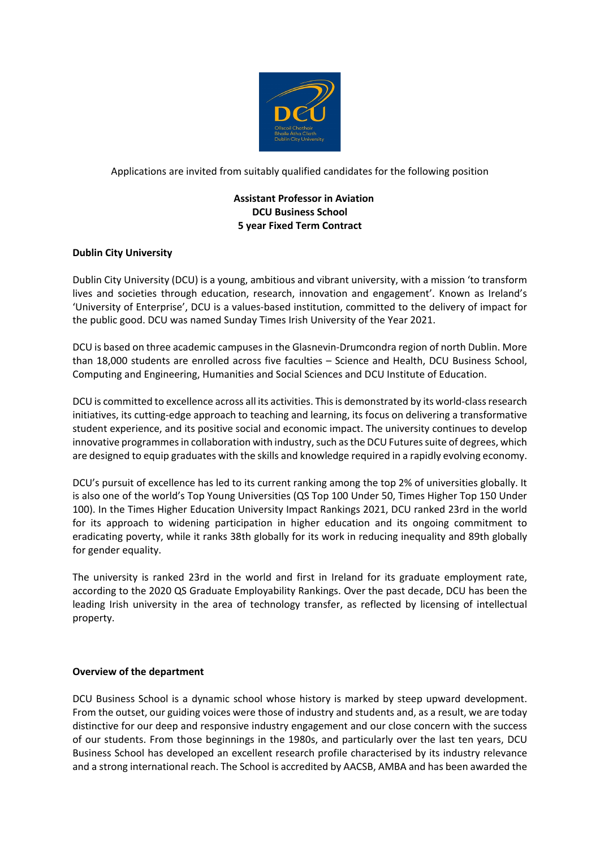

Applications are invited from suitably qualified candidates for the following position

# **Assistant Professor in Aviation DCU Business School 5 year Fixed Term Contract**

# **Dublin City University**

Dublin City University (DCU) is a young, ambitious and vibrant university, with a mission 'to transform lives and societies through education, research, innovation and engagement'. Known as Ireland's 'University of Enterprise', DCU is a values-based institution, committed to the delivery of impact for the public good. DCU was named Sunday Times Irish University of the Year 2021.

DCU is based on three academic campuses in the Glasnevin-Drumcondra region of north Dublin. More than 18,000 students are enrolled across five faculties – Science and Health, DCU Business School, Computing and Engineering, Humanities and Social Sciences and DCU Institute of Education.

DCU is committed to excellence across all its activities. This is demonstrated by its world-class research initiatives, its cutting-edge approach to teaching and learning, its focus on delivering a transformative student experience, and its positive social and economic impact. The university continues to develop innovative programmes in collaboration with industry, such as the DCU Futures suite of degrees, which are designed to equip graduates with the skills and knowledge required in a rapidly evolving economy.

DCU's pursuit of excellence has led to its current ranking among the top 2% of universities globally. It is also one of the world's Top Young Universities (QS Top 100 Under 50, Times Higher Top 150 Under 100). In the Times Higher Education University Impact Rankings 2021, DCU ranked 23rd in the world for its approach to widening participation in higher education and its ongoing commitment to eradicating poverty, while it ranks 38th globally for its work in reducing inequality and 89th globally for gender equality.

The university is ranked 23rd in the world and first in Ireland for its graduate employment rate, according to the 2020 QS Graduate Employability Rankings. Over the past decade, DCU has been the leading Irish university in the area of technology transfer, as reflected by licensing of intellectual property.

# **Overview of the department**

DCU Business School is a dynamic school whose history is marked by steep upward development. From the outset, our guiding voices were those of industry and students and, as a result, we are today distinctive for our deep and responsive industry engagement and our close concern with the success of our students. From those beginnings in the 1980s, and particularly over the last ten years, DCU Business School has developed an excellent research profile characterised by its industry relevance and a strong international reach. The School is accredited by AACSB, AMBA and has been awarded the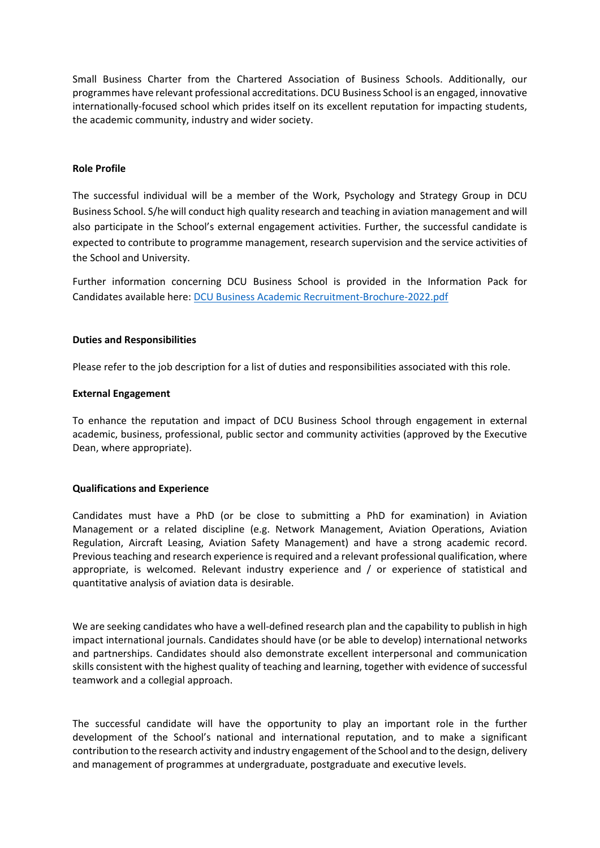Small Business Charter from the Chartered Association of Business Schools. Additionally, our programmes have relevant professional accreditations. DCU Business School is an engaged, innovative internationally-focused school which prides itself on its excellent reputation for impacting students, the academic community, industry and wider society.

### **Role Profile**

The successful individual will be a member of the Work, Psychology and Strategy Group in DCU Business School. S/he will conduct high quality research and teaching in aviation management and will also participate in the School's external engagement activities. Further, the successful candidate is expected to contribute to programme management, research supervision and the service activities of the School and University.

Further information concerning DCU Business School is provided in the Information Pack for Candidates available here: [DCU Business Academic Recruitment-Brochure-2022.pdf](file://ad/data/DEPT/HR/ALL/HR-Staff%20work%20folders/Emer%20McKenna/DCU%20Business%20Academic%20Recruitment-Brochure-2022.pdf)

#### **Duties and Responsibilities**

Please refer to the job description for a list of duties and responsibilities associated with this role.

#### **External Engagement**

To enhance the reputation and impact of DCU Business School through engagement in external academic, business, professional, public sector and community activities (approved by the Executive Dean, where appropriate).

# **Qualifications and Experience**

Candidates must have a PhD (or be close to submitting a PhD for examination) in Aviation Management or a related discipline (e.g. Network Management, Aviation Operations, Aviation Regulation, Aircraft Leasing, Aviation Safety Management) and have a strong academic record. Previous teaching and research experience is required and a relevant professional qualification, where appropriate, is welcomed. Relevant industry experience and / or experience of statistical and quantitative analysis of aviation data is desirable.

We are seeking candidates who have a well-defined research plan and the capability to publish in high impact international journals. Candidates should have (or be able to develop) international networks and partnerships. Candidates should also demonstrate excellent interpersonal and communication skills consistent with the highest quality of teaching and learning, together with evidence of successful teamwork and a collegial approach.

The successful candidate will have the opportunity to play an important role in the further development of the School's national and international reputation, and to make a significant contribution to the research activity and industry engagement of the School and to the design, delivery and management of programmes at undergraduate, postgraduate and executive levels.